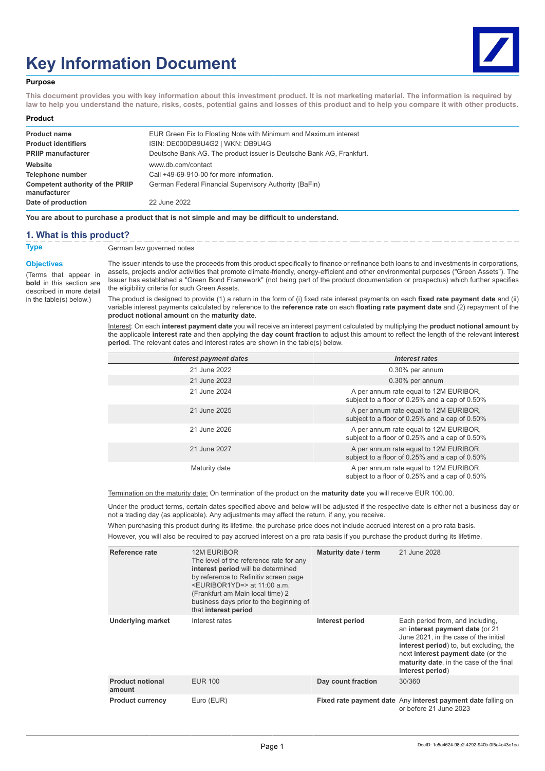# **Key Information Document**



### **Purpose**

**This document provides you with key information about this investment product. It is not marketing material. The information is required by law to help you understand the nature, risks, costs, potential gains and losses of this product and to help you compare it with other products.**

#### **Product**

| <b>Product name</b>                                     | EUR Green Fix to Floating Note with Minimum and Maximum interest     |
|---------------------------------------------------------|----------------------------------------------------------------------|
| <b>Product identifiers</b>                              | ISIN: DE000DB9U4G2   WKN: DB9U4G                                     |
| <b>PRIIP manufacturer</b>                               | Deutsche Bank AG. The product issuer is Deutsche Bank AG, Frankfurt. |
| Website                                                 | www.db.com/contact                                                   |
| Telephone number                                        | Call +49-69-910-00 for more information.                             |
| <b>Competent authority of the PRIIP</b><br>manufacturer | German Federal Financial Supervisory Authority (BaFin)               |
| Date of production                                      | 22 June 2022                                                         |

**You are about to purchase a product that is not simple and may be difficult to understand.**

## **1. What is this product?**

**Type** German law governed notes

#### **Objectives**

(Terms that appear in **bold** in this section are described in more detail in the table(s) below.)

The issuer intends to use the proceeds from this product specifically to finance or refinance both loans to and investments in corporations, assets, projects and/or activities that promote climate-friendly, energy-efficient and other environmental purposes ("Green Assets"). The Issuer has established a "Green Bond Framework" (not being part of the product documentation or prospectus) which further specifies the eligibility criteria for such Green Assets.

The product is designed to provide (1) a return in the form of (i) fixed rate interest payments on each **fixed rate payment date** and (ii) variable interest payments calculated by reference to the **reference rate** on each **floating rate payment date** and (2) repayment of the **product notional amount** on the **maturity date**.

Interest: On each **interest payment date** you will receive an interest payment calculated by multiplying the **product notional amount** by the applicable **interest rate** and then applying the **day count fraction** to adjust this amount to reflect the length of the relevant **interest period**. The relevant dates and interest rates are shown in the table(s) below.

| Interest payment dates | Interest rates                                                                           |
|------------------------|------------------------------------------------------------------------------------------|
| 21 June 2022           | 0.30% per annum                                                                          |
| 21 June 2023           | 0.30% per annum                                                                          |
| 21 June 2024           | A per annum rate equal to 12M EURIBOR,<br>subject to a floor of 0.25% and a cap of 0.50% |
| 21 June 2025           | A per annum rate equal to 12M EURIBOR,<br>subject to a floor of 0.25% and a cap of 0.50% |
| 21 June 2026           | A per annum rate equal to 12M EURIBOR,<br>subject to a floor of 0.25% and a cap of 0.50% |
| 21 June 2027           | A per annum rate equal to 12M EURIBOR,<br>subject to a floor of 0.25% and a cap of 0.50% |
| Maturity date          | A per annum rate equal to 12M EURIBOR,<br>subject to a floor of 0.25% and a cap of 0.50% |

Termination on the maturity date: On termination of the product on the **maturity date** you will receive EUR 100.00.

Under the product terms, certain dates specified above and below will be adjusted if the respective date is either not a business day or not a trading day (as applicable). Any adjustments may affect the return, if any, you receive.

When purchasing this product during its lifetime, the purchase price does not include accrued interest on a pro rata basis.

However, you will also be required to pay accrued interest on a pro rata basis if you purchase the product during its lifetime.

| Reference rate                    | <b>12M EURIBOR</b><br>The level of the reference rate for any<br>interest period will be determined<br>by reference to Refinitiv screen page<br>$\leq$ EURIBOR1YD=> at 11:00 a.m.<br>(Frankfurt am Main local time) 2<br>business days prior to the beginning of<br>that interest period | Maturity date / term | 21 June 2028                                                                                                                                                                                                                                                 |
|-----------------------------------|------------------------------------------------------------------------------------------------------------------------------------------------------------------------------------------------------------------------------------------------------------------------------------------|----------------------|--------------------------------------------------------------------------------------------------------------------------------------------------------------------------------------------------------------------------------------------------------------|
| <b>Underlying market</b>          | Interest rates                                                                                                                                                                                                                                                                           | Interest period      | Each period from, and including,<br>an interest payment date (or 21<br>June 2021, in the case of the initial<br>interest period) to, but excluding, the<br>next interest payment date (or the<br>maturity date, in the case of the final<br>interest period) |
| <b>Product notional</b><br>amount | <b>EUR 100</b>                                                                                                                                                                                                                                                                           | Day count fraction   | 30/360                                                                                                                                                                                                                                                       |
| <b>Product currency</b>           | Euro (EUR)                                                                                                                                                                                                                                                                               |                      | Fixed rate payment date Any interest payment date falling on<br>or before 21 June 2023                                                                                                                                                                       |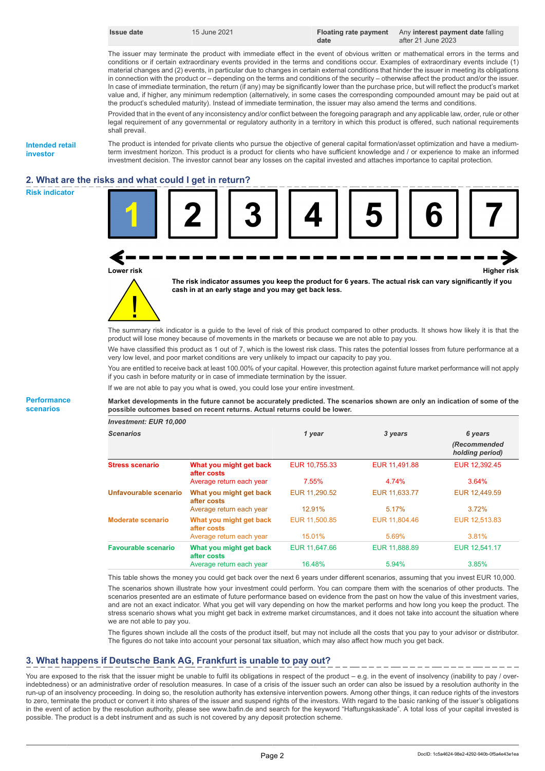|  | ssue date |  |
|--|-----------|--|
|--|-----------|--|

The issuer may terminate the product with immediate effect in the event of obvious written or mathematical errors in the terms and conditions or if certain extraordinary events provided in the terms and conditions occur. Examples of extraordinary events include (1) material changes and (2) events, in particular due to changes in certain external conditions that hinder the issuer in meeting its obligations in connection with the product or – depending on the terms and conditions of the security – otherwise affect the product and/or the issuer. In case of immediate termination, the return (if any) may be significantly lower than the purchase price, but will reflect the product's market value and, if higher, any minimum redemption (alternatively, in some cases the corresponding compounded amount may be paid out at the product's scheduled maturity). Instead of immediate termination, the issuer may also amend the terms and conditions.

Provided that in the event of any inconsistency and/or conflict between the foregoing paragraph and any applicable law, order, rule or other legal requirement of any governmental or regulatory authority in a territory in which this product is offered, such national requirements shall prevail.

**Intended retail investor**

The product is intended for private clients who pursue the objective of general capital formation/asset optimization and have a mediumterm investment horizon. This product is a product for clients who have sufficient knowledge and / or experience to make an informed investment decision. The investor cannot bear any losses on the capital invested and attaches importance to capital protection.

# **2. What are the risks and what could I get in return?**







**The risk indicator assumes you keep the product for 6 years. The actual risk can vary significantly if you cash in at an early stage and you may get back less.**

The summary risk indicator is a guide to the level of risk of this product compared to other products. It shows how likely it is that the product will lose money because of movements in the markets or because we are not able to pay you.

We have classified this product as 1 out of 7, which is the lowest risk class. This rates the potential losses from future performance at a very low level, and poor market conditions are very unlikely to impact our capacity to pay you.

You are entitled to receive back at least 100.00% of your capital. However, this protection against future market performance will not apply if you cash in before maturity or in case of immediate termination by the issuer.

If we are not able to pay you what is owed, you could lose your entire investment.

**Market developments in the future cannot be accurately predicted. The scenarios shown are only an indication of some of the possible outcomes based on recent returns. Actual returns could be lower.**

| <b>Investment: EUR 10,000</b> |                                        |               |               |                                 |
|-------------------------------|----------------------------------------|---------------|---------------|---------------------------------|
| <b>Scenarios</b>              |                                        | 1 year        | 3 years       | 6 years                         |
|                               |                                        |               |               | (Recommended<br>holding period) |
| <b>Stress scenario</b>        | What you might get back<br>after costs | EUR 10.755.33 | EUR 11.491.88 | EUR 12,392.45                   |
|                               | Average return each year               | 7.55%         | 4.74%         | 3.64%                           |
| Unfavourable scenario         | What you might get back<br>after costs | EUR 11,290.52 | EUR 11,633.77 | EUR 12,449.59                   |
|                               | Average return each year               | 12.91%        | 5.17%         | 3.72%                           |
| Moderate scenario             | What you might get back<br>after costs | EUR 11,500.85 | EUR 11,804.46 | EUR 12.513.83                   |
|                               | Average return each year               | 15.01%        | 5.69%         | 3.81%                           |
| <b>Favourable scenario</b>    | What you might get back<br>after costs | EUR 11.647.66 | EUR 11,888.89 | EUR 12.541.17                   |
|                               | Average return each year               | 16.48%        | 5.94%         | 3.85%                           |

This table shows the money you could get back over the next 6 years under different scenarios, assuming that you invest EUR 10,000.

The scenarios shown illustrate how your investment could perform. You can compare them with the scenarios of other products. The scenarios presented are an estimate of future performance based on evidence from the past on how the value of this investment varies, and are not an exact indicator. What you get will vary depending on how the market performs and how long you keep the product. The stress scenario shows what you might get back in extreme market circumstances, and it does not take into account the situation where we are not able to pay you.

The figures shown include all the costs of the product itself, but may not include all the costs that you pay to your advisor or distributor. The figures do not take into account your personal tax situation, which may also affect how much you get back.

## **3. What happens if Deutsche Bank AG, Frankfurt is unable to pay out?**

You are exposed to the risk that the issuer might be unable to fulfil its obligations in respect of the product – e.g. in the event of insolvency (inability to pay / overindebtedness) or an administrative order of resolution measures. In case of a crisis of the issuer such an order can also be issued by a resolution authority in the run-up of an insolvency proceeding. In doing so, the resolution authority has extensive intervention powers. Among other things, it can reduce rights of the investors to zero, terminate the product or convert it into shares of the issuer and suspend rights of the investors. With regard to the basic ranking of the issuer's obligations in the event of action by the resolution authority, please see www.bafin.de and search for the keyword "Haftungskaskade". A total loss of your capital invested is possible. The product is a debt instrument and as such is not covered by any deposit protection scheme.

#### **Performance scenarios**